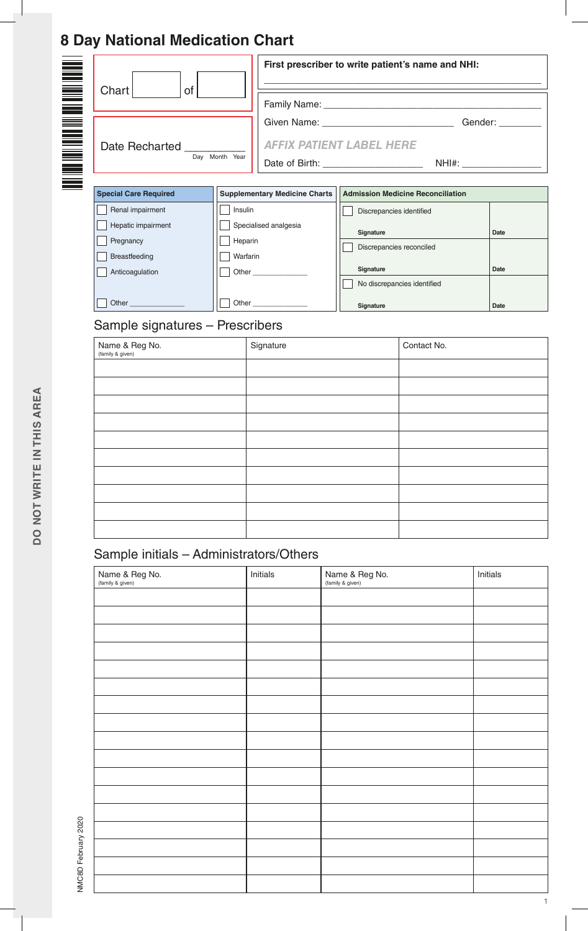## **8 Day National Medication Chart**

|                                                                                                                                     |                                         |                                                                           |                                                                                             | First prescriber to write patient's name and NHI:                                |                      |  |
|-------------------------------------------------------------------------------------------------------------------------------------|-----------------------------------------|---------------------------------------------------------------------------|---------------------------------------------------------------------------------------------|----------------------------------------------------------------------------------|----------------------|--|
| Chart<br>of                                                                                                                         |                                         |                                                                           |                                                                                             |                                                                                  |                      |  |
| Date Recharted                                                                                                                      | Day Month Year                          | <b>AFFIX PATIENT LABEL HERE</b><br>Date of Birth: _______________________ |                                                                                             | Given Name: _________________________________Gender: ___________________________ |                      |  |
| <b>Special Care Required</b>                                                                                                        |                                         | <b>Supplementary Medicine Charts</b>                                      |                                                                                             | <b>Admission Medicine Reconciliation</b>                                         |                      |  |
| Renal impairment<br>Hepatic impairment<br>Pregnancy<br>Breastfeeding<br>Anticoagulation<br>Other<br>Sample signatures - Prescribers | Insulin<br>Heparin<br>Warfarin<br>Other | Specialised analgesia                                                     | Discrepancies identified<br>Signature<br>Discrepancies reconciled<br>Signature<br>Signature | No discrepancies identified                                                      | Date<br>Date<br>Date |  |
| Name & Reg No.<br>(family & given)                                                                                                  |                                         | Signature                                                                 |                                                                                             | Contact No.                                                                      |                      |  |
|                                                                                                                                     |                                         |                                                                           |                                                                                             |                                                                                  |                      |  |
|                                                                                                                                     |                                         |                                                                           |                                                                                             |                                                                                  |                      |  |
|                                                                                                                                     |                                         |                                                                           |                                                                                             |                                                                                  |                      |  |
|                                                                                                                                     |                                         |                                                                           |                                                                                             |                                                                                  |                      |  |

### Sample initials – Administrators/Others

| Name & Reg No.<br>(family & given) | Initials | Name & Reg No.<br>(family & given) | Initials |
|------------------------------------|----------|------------------------------------|----------|
|                                    |          |                                    |          |
|                                    |          |                                    |          |
|                                    |          |                                    |          |
|                                    |          |                                    |          |
|                                    |          |                                    |          |
|                                    |          |                                    |          |
|                                    |          |                                    |          |
|                                    |          |                                    |          |
|                                    |          |                                    |          |
|                                    |          |                                    |          |
|                                    |          |                                    |          |
|                                    |          |                                    |          |
|                                    |          |                                    |          |
|                                    |          |                                    |          |
|                                    |          |                                    |          |
|                                    |          |                                    |          |
|                                    |          |                                    |          |

NMC8D February 2020 NMC8D February 2020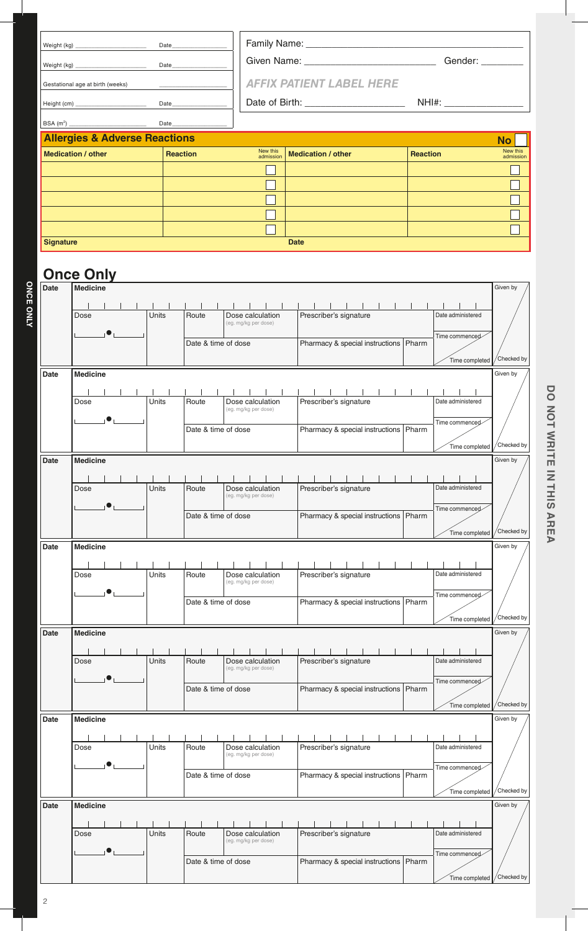|                  |                                          | Date            |                     |                                          | Given Name: _________________________________Gender: _________ |                 |                                          |  |  |  |  |  |
|------------------|------------------------------------------|-----------------|---------------------|------------------------------------------|----------------------------------------------------------------|-----------------|------------------------------------------|--|--|--|--|--|
|                  |                                          | Date            |                     |                                          |                                                                |                 |                                          |  |  |  |  |  |
|                  | Gestational age at birth (weeks)         |                 |                     |                                          | <b>AFFIX PATIENT LABEL HERE</b>                                |                 |                                          |  |  |  |  |  |
|                  |                                          |                 | Date                |                                          |                                                                |                 |                                          |  |  |  |  |  |
|                  |                                          |                 | <b>Date Date</b>    |                                          |                                                                |                 |                                          |  |  |  |  |  |
|                  | <b>Allergies &amp; Adverse Reactions</b> |                 |                     |                                          |                                                                |                 | <b>No</b>                                |  |  |  |  |  |
|                  | <b>Medication / other</b>                | <b>Reaction</b> |                     | New this<br>admission                    | <b>Medication / other</b>                                      | <b>Reaction</b> | New this<br>admission                    |  |  |  |  |  |
|                  |                                          |                 |                     |                                          |                                                                |                 |                                          |  |  |  |  |  |
|                  |                                          |                 |                     |                                          |                                                                |                 |                                          |  |  |  |  |  |
|                  |                                          |                 |                     |                                          |                                                                |                 |                                          |  |  |  |  |  |
|                  |                                          |                 |                     |                                          |                                                                |                 |                                          |  |  |  |  |  |
| <b>Signature</b> |                                          |                 |                     |                                          | <b>Date</b>                                                    |                 |                                          |  |  |  |  |  |
|                  |                                          |                 |                     |                                          |                                                                |                 |                                          |  |  |  |  |  |
|                  | <b>Once Only</b>                         |                 |                     |                                          |                                                                |                 | Given by                                 |  |  |  |  |  |
| Date             | <b>Medicine</b>                          |                 |                     |                                          |                                                                |                 |                                          |  |  |  |  |  |
|                  | Dose                                     | <b>Units</b>    | Route               | Dose calculation                         | Prescriber's signature                                         |                 | Date administered                        |  |  |  |  |  |
|                  |                                          |                 |                     | (eg. mg/kg per dose)                     |                                                                |                 | Time commenced                           |  |  |  |  |  |
|                  |                                          |                 | Date & time of dose |                                          | Pharmacy & special instructions   Pharm                        |                 |                                          |  |  |  |  |  |
|                  |                                          |                 |                     |                                          |                                                                |                 | Checked by<br>Time completed             |  |  |  |  |  |
| Date             | <b>Medicine</b>                          |                 |                     |                                          |                                                                |                 | Given by                                 |  |  |  |  |  |
|                  | Dose                                     | Units           | Route               | Dose calculation                         | $\sim$ 1 $\sim$ 1 $\sim$ 1<br>Prescriber's signature           |                 | Date administered                        |  |  |  |  |  |
|                  |                                          |                 |                     | (eg. mg/kg per dose)                     |                                                                |                 | Time commenced                           |  |  |  |  |  |
|                  |                                          |                 | Date & time of dose |                                          | Pharmacy & special instructions   Pharm                        |                 |                                          |  |  |  |  |  |
|                  |                                          |                 |                     |                                          |                                                                |                 | Time completed / Checked by<br>Given by  |  |  |  |  |  |
| Date             | <b>Medicine</b>                          |                 |                     |                                          |                                                                |                 |                                          |  |  |  |  |  |
|                  | Dose                                     | Units           | Route               | Dose calculation                         | Prescriber's signature                                         |                 | Date administered                        |  |  |  |  |  |
|                  |                                          |                 |                     | (eg. mg/kg per dose)                     |                                                                |                 | Time commenced                           |  |  |  |  |  |
|                  |                                          |                 | Date & time of dose |                                          | Pharmacy & special instructions                                | Pharm           |                                          |  |  |  |  |  |
| Date             | <b>Medicine</b>                          |                 |                     |                                          |                                                                |                 | Checked by<br>Time completed<br>Given by |  |  |  |  |  |
|                  |                                          |                 |                     |                                          |                                                                |                 |                                          |  |  |  |  |  |
|                  | Dose                                     | Units           | Route               | Dose calculation<br>(eg. mg/kg per dose) | Prescriber's signature                                         |                 | Date administered                        |  |  |  |  |  |
|                  |                                          |                 |                     |                                          |                                                                |                 | Time commenced                           |  |  |  |  |  |
|                  |                                          |                 | Date & time of dose |                                          | Pharmacy & special instructions                                | Pharm           | Checked by                               |  |  |  |  |  |
| Date             | <b>Medicine</b>                          |                 |                     |                                          |                                                                |                 | Time completed<br>Given by               |  |  |  |  |  |
|                  |                                          |                 |                     |                                          |                                                                |                 |                                          |  |  |  |  |  |
|                  | Dose                                     | Units           | Route               | Dose calculation<br>(eg. mg/kg per dose) | Prescriber's signature                                         |                 | Date administered                        |  |  |  |  |  |
|                  |                                          |                 |                     |                                          |                                                                |                 | Time commenced                           |  |  |  |  |  |
|                  |                                          |                 | Date & time of dose |                                          | Pharmacy & special instructions   Pharm                        |                 | Checked by                               |  |  |  |  |  |
| Date             | <b>Medicine</b>                          |                 |                     |                                          |                                                                |                 | Time completed<br>Given by               |  |  |  |  |  |
|                  |                                          |                 |                     |                                          |                                                                |                 |                                          |  |  |  |  |  |
|                  | Dose                                     | Units           | Route               | Dose calculation<br>(eg. mg/kg per dose) | Prescriber's signature                                         |                 | Date administered                        |  |  |  |  |  |
|                  |                                          |                 | Date & time of dose |                                          |                                                                | Pharm           | Time commenced                           |  |  |  |  |  |
|                  |                                          |                 |                     |                                          | Pharmacy & special instructions                                |                 | Checked by<br>Time completed             |  |  |  |  |  |
| Date             | <b>Medicine</b>                          |                 |                     |                                          |                                                                |                 | Given by                                 |  |  |  |  |  |
|                  |                                          |                 |                     |                                          |                                                                |                 |                                          |  |  |  |  |  |
|                  | Dose                                     | Units           | Route               | Dose calculation<br>(eg. mg/kg per dose) | Prescriber's signature                                         |                 | Date administered                        |  |  |  |  |  |
|                  |                                          |                 | Date & time of dose |                                          | Pharmacy & special instructions                                |                 | Time commenced                           |  |  |  |  |  |
|                  |                                          |                 |                     |                                          |                                                                | Pharm           | Checked by<br>Time completed             |  |  |  |  |  |
|                  |                                          |                 |                     |                                          |                                                                |                 |                                          |  |  |  |  |  |

DO NOT WRITE IN THIS AREA **DO NOT WRITE IN THIS AREA**